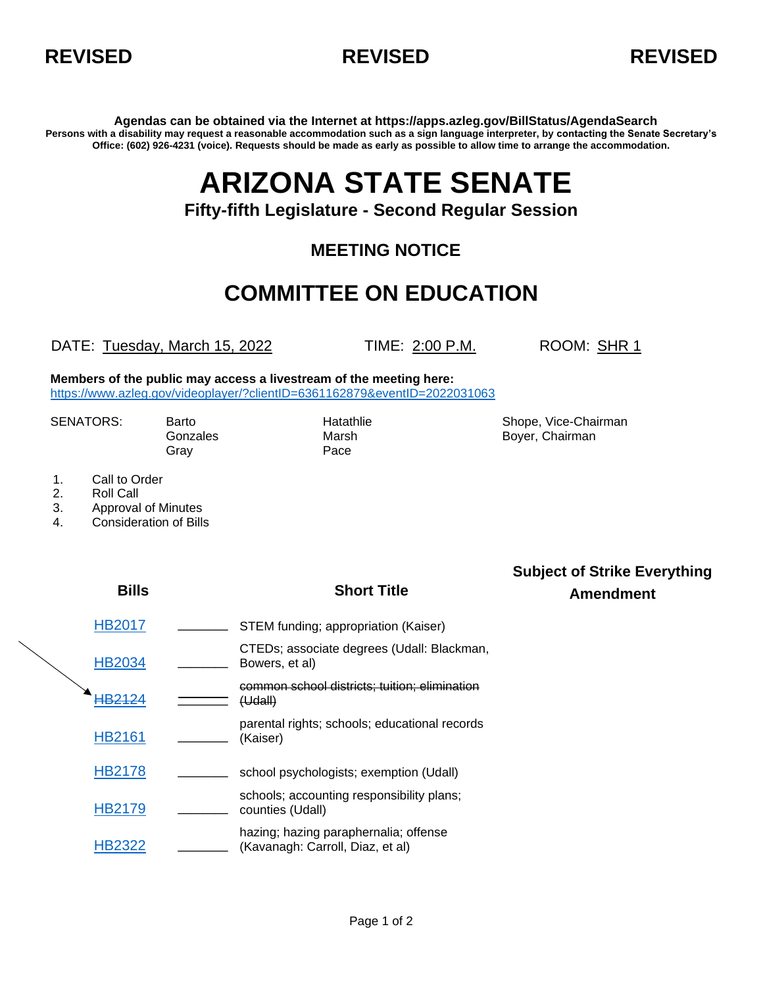



**Agendas can be obtained via the Internet at https://apps.azleg.gov/BillStatus/AgendaSearch Persons with a disability may request a reasonable accommodation such as a sign language interpreter, by contacting the Senate Secretary's Office: (602) 926-4231 (voice). Requests should be made as early as possible to allow time to arrange the accommodation.**

# **ARIZONA STATE SENATE**

#### **Fifty-fifth Legislature - Second Regular Session**

### **MEETING NOTICE**

## **COMMITTEE ON EDUCATION**

DATE: Tuesday, March 15, 2022 TIME: 2:00 P.M. ROOM: SHR 1

**Members of the public may access a livestream of the meeting here:**  <https://www.azleg.gov/videoplayer/?clientID=6361162879&eventID=2022031063>

Gray **Pace** 

SENATORS: Barto **Barto Chairman** Hatathlie Shope, Vice-Chairman Gonzales Marsh Marsh Boyer, Chairman

- 1. Call to Order
- 2. Roll Call
- 3. Approval of Minutes
- 4. Consideration of Bills

| <b>Bills</b>  | <b>Short Title</b>                                                        | <b>Subject of Strike Everything</b><br><b>Amendment</b> |
|---------------|---------------------------------------------------------------------------|---------------------------------------------------------|
| <b>HB2017</b> | STEM funding; appropriation (Kaiser)                                      |                                                         |
| <b>HB2034</b> | CTEDs; associate degrees (Udall: Blackman,<br>Bowers, et al)              |                                                         |
| IB2124        | common school districts; tuition; elimination<br>(Udall)                  |                                                         |
| <b>HB2161</b> | parental rights; schools; educational records<br>(Kaiser)                 |                                                         |
| HB2178        | school psychologists; exemption (Udall)                                   |                                                         |
| HB2179        | schools; accounting responsibility plans;<br>counties (Udall)             |                                                         |
| <b>HB2322</b> | hazing; hazing paraphernalia; offense<br>(Kavanagh: Carroll, Diaz, et al) |                                                         |